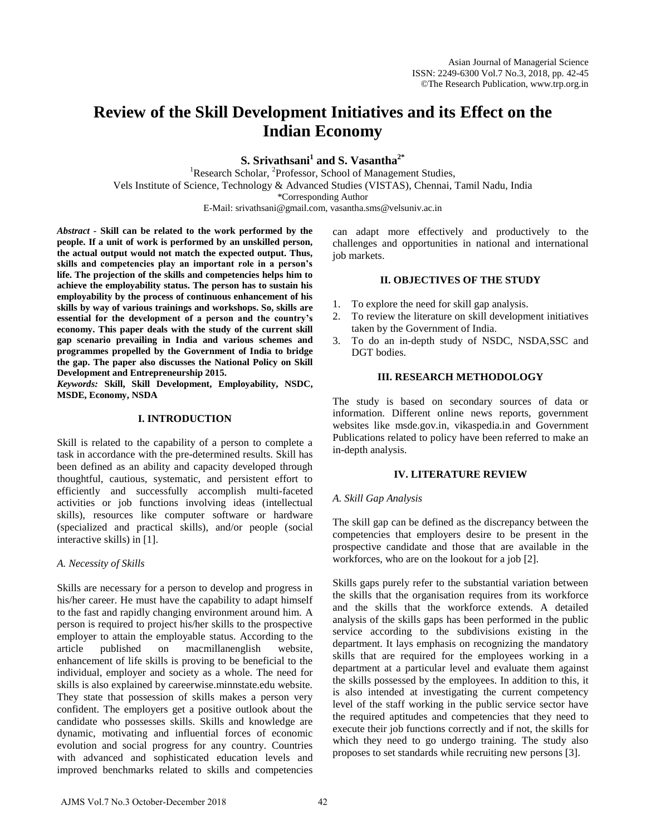# **Review of the Skill Development Initiatives and its Effect on the Indian Economy**

**S. Srivathsani<sup>1</sup> and S. Vasantha2\***

<sup>1</sup>Research Scholar, <sup>2</sup>Professor, School of Management Studies, Vels Institute of Science, Technology & Advanced Studies (VISTAS), Chennai, Tamil Nadu, India \*Corresponding Author

E-Mail: srivathsani@gmail.com, vasantha.sms@velsuniv.ac.in

*Abstract -* **Skill can be related to the work performed by the people. If a unit of work is performed by an unskilled person, the actual output would not match the expected output. Thus, skills and competencies play an important role in a person's life. The projection of the skills and competencies helps him to achieve the employability status. The person has to sustain his employability by the process of continuous enhancement of his skills by way of various trainings and workshops. So, skills are essential for the development of a person and the country's economy. This paper deals with the study of the current skill gap scenario prevailing in India and various schemes and programmes propelled by the Government of India to bridge the gap. The paper also discusses the National Policy on Skill Development and Entrepreneurship 2015.** 

*Keywords:* **Skill, Skill Development, Employability, NSDC, MSDE, Economy, NSDA**

## **I. INTRODUCTION**

Skill is related to the capability of a person to complete a task in accordance with the pre-determined results. Skill has been defined as an ability and capacity developed through thoughtful, cautious, systematic, and persistent effort to efficiently and successfully accomplish multi-faceted activities or job functions involving ideas (intellectual skills), resources like computer software or hardware (specialized and practical skills), and/or people (social interactive skills) in [1].

## *A. Necessity of Skills*

Skills are necessary for a person to develop and progress in his/her career. He must have the capability to adapt himself to the fast and rapidly changing environment around him. A person is required to project his/her skills to the prospective employer to attain the employable status. According to the article published on macmillanenglish website, enhancement of life skills is proving to be beneficial to the individual, employer and society as a whole. The need for skills is also explained by careerwise.minnstate.edu website. They state that possession of skills makes a person very confident. The employers get a positive outlook about the candidate who possesses skills. Skills and knowledge are dynamic, motivating and influential forces of economic evolution and social progress for any country. Countries with advanced and sophisticated education levels and improved benchmarks related to skills and competencies can adapt more effectively and productively to the challenges and opportunities in national and international job markets.

## **II. OBJECTIVES OF THE STUDY**

- 1. To explore the need for skill gap analysis.
- 2. To review the literature on skill development initiatives taken by the Government of India.
- 3. To do an in-depth study of NSDC, NSDA,SSC and DGT bodies.

## **III. RESEARCH METHODOLOGY**

The study is based on secondary sources of data or information. Different online news reports, government websites like msde.gov.in, vikaspedia.in and Government Publications related to policy have been referred to make an in-depth analysis.

## **IV. LITERATURE REVIEW**

## *A. Skill Gap Analysis*

The skill gap can be defined as the discrepancy between the competencies that employers desire to be present in the prospective candidate and those that are available in the workforces, who are on the lookout for a job [2].

Skills gaps purely refer to the substantial variation between the skills that the organisation requires from its workforce and the skills that the workforce extends. A detailed analysis of the skills gaps has been performed in the public service according to the subdivisions existing in the department. It lays emphasis on recognizing the mandatory skills that are required for the employees working in a department at a particular level and evaluate them against the skills possessed by the employees. In addition to this, it is also intended at investigating the current competency level of the staff working in the public service sector have the required aptitudes and competencies that they need to execute their job functions correctly and if not, the skills for which they need to go undergo training. The study also proposes to set standards while recruiting new persons [3].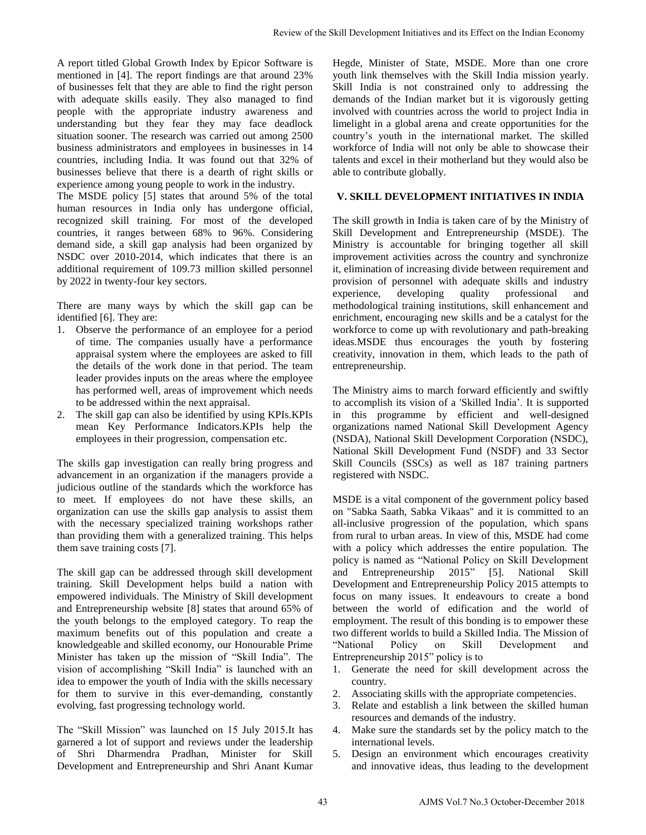A report titled Global Growth Index by Epicor Software is mentioned in [4]. The report findings are that around 23% of businesses felt that they are able to find the right person with adequate skills easily. They also managed to find people with the appropriate industry awareness and understanding but they fear they may face deadlock situation sooner. The research was carried out among 2500 business administrators and employees in businesses in 14 countries, including India. It was found out that 32% of businesses believe that there is a dearth of right skills or experience among young people to work in the industry.

The MSDE policy [5] states that around 5% of the total human resources in India only has undergone official, recognized skill training. For most of the developed countries, it ranges between 68% to 96%. Considering demand side, a skill gap analysis had been organized by NSDC over 2010-2014, which indicates that there is an additional requirement of 109.73 million skilled personnel by 2022 in twenty-four key sectors.

There are many ways by which the skill gap can be identified [6]. They are:

- 1. Observe the performance of an employee for a period of time. The companies usually have a performance appraisal system where the employees are asked to fill the details of the work done in that period. The team leader provides inputs on the areas where the employee has performed well, areas of improvement which needs to be addressed within the next appraisal.
- 2. The skill gap can also be identified by using KPIs.KPIs mean Key Performance Indicators.KPIs help the employees in their progression, compensation etc.

The skills gap investigation can really bring progress and advancement in an organization if the managers provide a judicious outline of the standards which the workforce has to meet. If employees do not have these skills, an organization can use the skills gap analysis to assist them with the necessary specialized training workshops rather than providing them with a generalized training. This helps them save training costs [7].

The skill gap can be addressed through skill development training. Skill Development helps build a nation with empowered individuals. The Ministry of Skill development and Entrepreneurship website [8] states that around 65% of the youth belongs to the employed category. To reap the maximum benefits out of this population and create a knowledgeable and skilled economy, our Honourable Prime Minister has taken up the mission of "Skill India". The vision of accomplishing "Skill India" is launched with an idea to empower the youth of India with the skills necessary for them to survive in this ever-demanding, constantly evolving, fast progressing technology world.

The "Skill Mission" was launched on 15 July 2015.It has garnered a lot of support and reviews under the leadership of Shri Dharmendra Pradhan, Minister for Skill Development and Entrepreneurship and Shri Anant Kumar Hegde, Minister of State, MSDE. More than one crore youth link themselves with the Skill India mission yearly. Skill India is not constrained only to addressing the demands of the Indian market but it is vigorously getting involved with countries across the world to project India in limelight in a global arena and create opportunities for the country's youth in the international market. The skilled workforce of India will not only be able to showcase their talents and excel in their motherland but they would also be able to contribute globally.

## **V. SKILL DEVELOPMENT INITIATIVES IN INDIA**

The skill growth in India is taken care of by the Ministry of Skill Development and Entrepreneurship (MSDE). The Ministry is accountable for bringing together all skill improvement activities across the country and synchronize it, elimination of increasing divide between requirement and provision of personnel with adequate skills and industry experience, developing quality professional and methodological training institutions, skill enhancement and enrichment, encouraging new skills and be a catalyst for the workforce to come up with revolutionary and path-breaking ideas.MSDE thus encourages the youth by fostering creativity, innovation in them, which leads to the path of entrepreneurship.

The Ministry aims to march forward efficiently and swiftly to accomplish its vision of a 'Skilled India'. It is supported in this programme by efficient and well-designed organizations named National Skill Development Agency (NSDA), National Skill Development Corporation (NSDC), National Skill Development Fund (NSDF) and 33 Sector Skill Councils (SSCs) as well as 187 training partners registered with NSDC.

MSDE is a vital component of the government policy based on "Sabka Saath, Sabka Vikaas" and it is committed to an all-inclusive progression of the population, which spans from rural to urban areas. In view of this, MSDE had come with a policy which addresses the entire population. The policy is named as "National Policy on Skill Development and Entrepreneurship 2015" [5]. National Skill Development and Entrepreneurship Policy 2015 attempts to focus on many issues. It endeavours to create a bond between the world of edification and the world of employment. The result of this bonding is to empower these two different worlds to build a Skilled India. The Mission of "National Policy on Skill Development and Entrepreneurship 2015" policy is to Review of the Skill Development initiatives and its Effect on the Indian Economy<br>
Myton, which also not constrained only to addensige the Hall Indian is not constrained only to proper the<br>
particular and involved with the

- 1. Generate the need for skill development across the country.
- 2. Associating skills with the appropriate competencies.
- 3. Relate and establish a link between the skilled human resources and demands of the industry.
- 4. Make sure the standards set by the policy match to the international levels.
- 5. Design an environment which encourages creativity and innovative ideas, thus leading to the development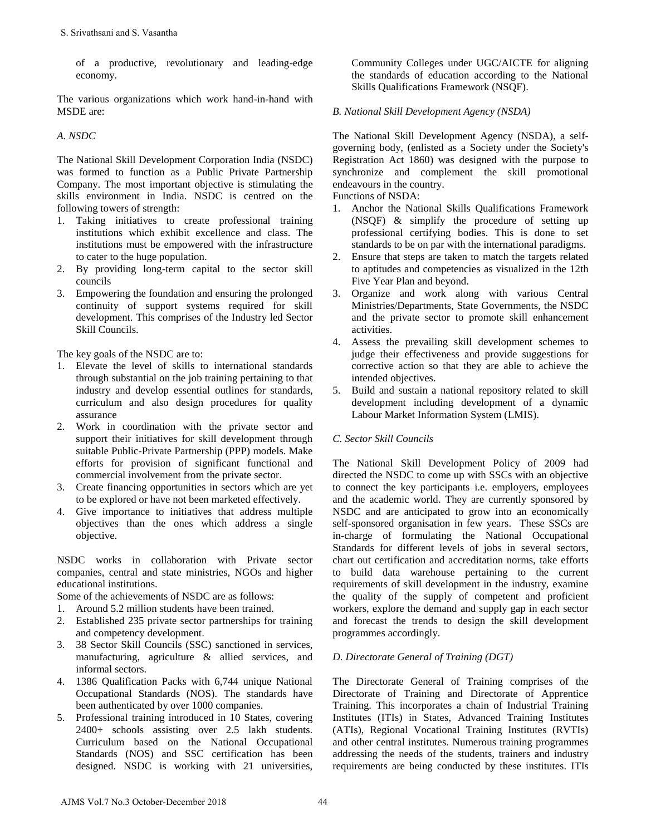of a productive, revolutionary and leading-edge economy.

The various organizations which work hand-in-hand with MSDE are:

## *A. NSDC*

The National Skill Development Corporation India (NSDC) was formed to function as a Public Private Partnership Company. The most important objective is stimulating the skills environment in India. NSDC is centred on the following towers of strength:

- 1. Taking initiatives to create professional training institutions which exhibit excellence and class. The institutions must be empowered with the infrastructure to cater to the huge population.
- 2. By providing long-term capital to the sector skill councils
- 3. Empowering the foundation and ensuring the prolonged continuity of support systems required for skill development. This comprises of the Industry led Sector Skill Councils.

The key goals of the NSDC are to:

- 1. Elevate the level of skills to international standards through substantial on the job training pertaining to that industry and develop essential outlines for standards, curriculum and also design procedures for quality assurance S. Srivathsani and S. Vasantha<br>
of a productive, revolutionary and leading-edge<br>
comomy.<br>
comomy.<br>
C. NSDC<br>
The Vasions organizations which work hand-in-hand with<br>
MSDE are:<br>
MSDE are:<br>
No. NSDC<br>
No. No. NSDC<br>
No. No. NSDC
- 2. Work in coordination with the private sector and support their initiatives for skill development through suitable Public-Private Partnership (PPP) models. Make efforts for provision of significant functional and commercial involvement from the private sector.
- 3. Create financing opportunities in sectors which are yet to be explored or have not been marketed effectively.
- 4. Give importance to initiatives that address multiple objectives than the ones which address a single objective.

NSDC works in collaboration with Private sector companies, central and state ministries, NGOs and higher educational institutions.

Some of the achievements of NSDC are as follows:

- 1. Around 5.2 million students have been trained.
- 2. Established 235 private sector partnerships for training and competency development.
- 3. 38 Sector Skill Councils (SSC) sanctioned in services, manufacturing, agriculture & allied services, and informal sectors.
- 4. 1386 Qualification Packs with 6,744 unique National Occupational Standards (NOS). The standards have been authenticated by over 1000 companies.
- 5. Professional training introduced in 10 States, covering 2400+ schools assisting over 2.5 lakh students. Curriculum based on the National Occupational Standards (NOS) and SSC certification has been designed. NSDC is working with 21 universities,

Community Colleges under UGC/AICTE for aligning the standards of education according to the National Skills Qualifications Framework (NSQF).

## *B. National Skill Development Agency (NSDA)*

The National Skill Development Agency (NSDA), a selfgoverning body, (enlisted as a Society under the Society's Registration Act 1860) was designed with the purpose to synchronize and complement the skill promotional endeavours in the country.

Functions of NSDA:

- 1. Anchor the National Skills Qualifications Framework (NSQF) & simplify the procedure of setting up professional certifying bodies. This is done to set standards to be on par with the international paradigms.
- 2. Ensure that steps are taken to match the targets related to aptitudes and competencies as visualized in the 12th Five Year Plan and beyond.
- 3. Organize and work along with various Central Ministries/Departments, State Governments, the NSDC and the private sector to promote skill enhancement activities.
- 4. Assess the prevailing skill development schemes to judge their effectiveness and provide suggestions for corrective action so that they are able to achieve the intended objectives.
- 5. Build and sustain a national repository related to skill development including development of a dynamic Labour Market Information System (LMIS).

## *C. Sector Skill Councils*

The National Skill Development Policy of 2009 had directed the NSDC to come up with SSCs with an objective to connect the key participants i.e. employers, employees and the academic world. They are currently sponsored by NSDC and are anticipated to grow into an economically self-sponsored organisation in few years. These SSCs are in-charge of formulating the National Occupational Standards for different levels of jobs in several sectors, chart out certification and accreditation norms, take efforts to build data warehouse pertaining to the current requirements of skill development in the industry, examine the quality of the supply of competent and proficient workers, explore the demand and supply gap in each sector and forecast the trends to design the skill development programmes accordingly.

## *D. Directorate General of Training (DGT)*

The Directorate General of Training comprises of the Directorate of Training and Directorate of Apprentice Training. This incorporates a chain of Industrial Training Institutes (ITIs) in States, Advanced Training Institutes (ATIs), Regional Vocational Training Institutes (RVTIs) and other central institutes. Numerous training programmes addressing the needs of the students, trainers and industry requirements are being conducted by these institutes. ITIs